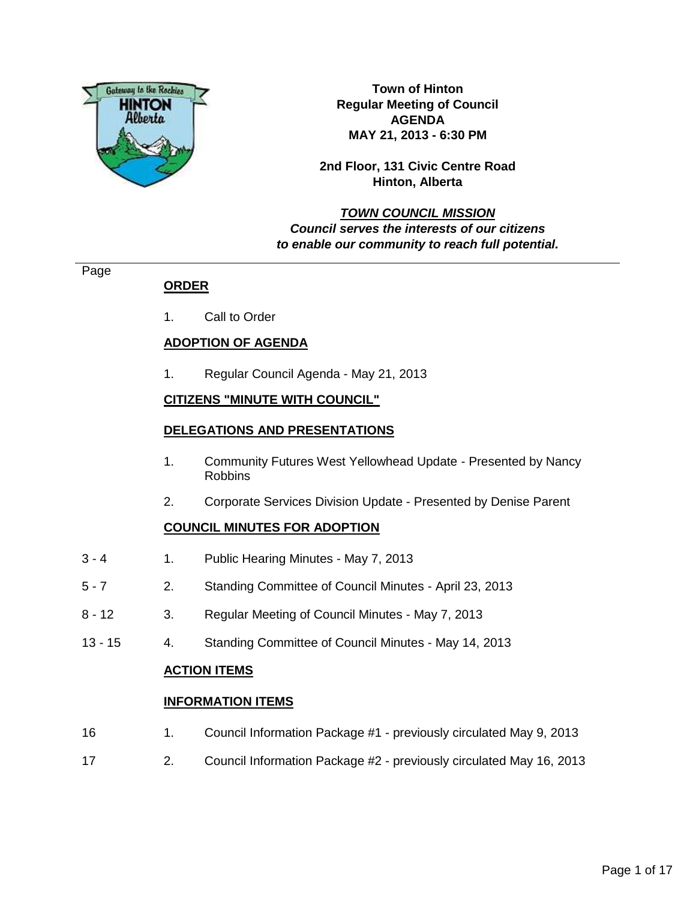

**Town of Hinton Regular Meeting of Council AGENDA MAY 21, 2013 - 6:30 PM**

**2nd Floor, 131 Civic Centre Road Hinton, Alberta**

# **TOWN COUNCIL MISSION Council serves the interests of our citizens to enable our community to reach full potential.**

Page

# **ORDER**

1. Call to Order

# **ADOPTION OF AGENDA**

1. Regular Council Agenda - May 21, 2013

# **CITIZENS "MINUTE WITH COUNCIL"**

## **DELEGATIONS AND PRESENTATIONS**

- 1. Community Futures West Yellowhead Update Presented by Nancy Robbins
- 2. Corporate Services Division Update Presented by Denise Parent

# **COUNCIL MINUTES FOR ADOPTION**

- 3 4 1. Public Hearing Minutes May 7, 2013
- 5 7 2. Standing Committee of Council Minutes April 23, 2013
- 8 12 3. Regular Meeting of Council Minutes May 7, 2013
- 13 15 4. Standing Committee of Council Minutes May 14, 2013

## **ACTION ITEMS**

## **INFORMATION ITEMS**

- 16 1. Council Information Package #1 previously circulated May 9, 2013
- 17 2. Council Information Package #2 previously circulated May 16, 2013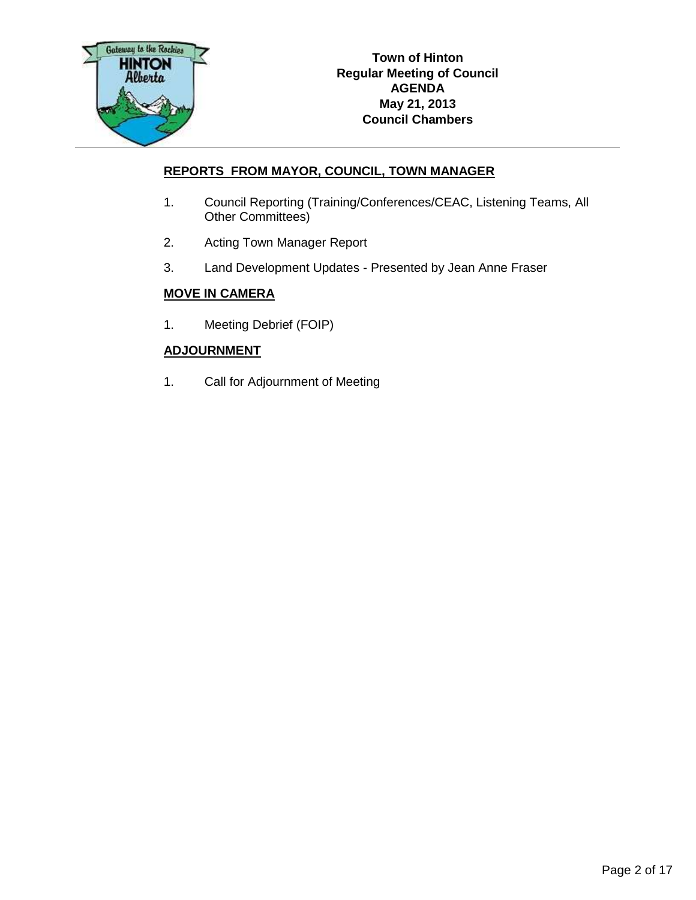

# **REPORTS FROM MAYOR, COUNCIL, TOWN MANAGER**

- 1. Council Reporting (Training/Conferences/CEAC, Listening Teams, All Other Committees)
- 2. Acting Town Manager Report
- 3. Land Development Updates Presented by Jean Anne Fraser

# **MOVE IN CAMERA**

1. Meeting Debrief (FOIP)

# **ADJOURNMENT**

1. Call for Adjournment of Meeting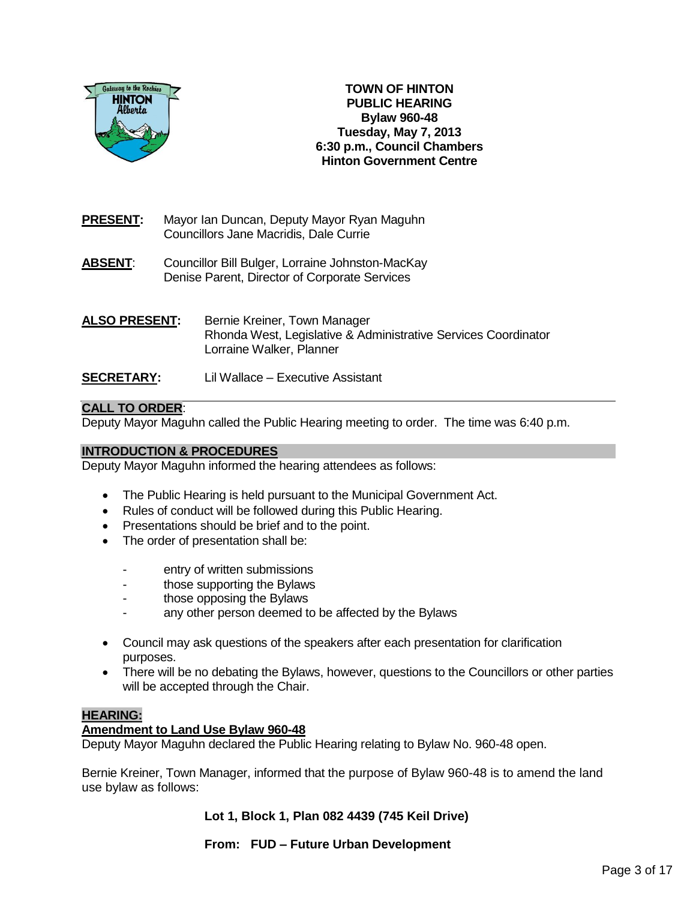

**TOWN OF HINTON PUBLIC HEARING Bylaw 960-48 Tuesday, May 7, 2013 6:30 p.m., Council Chambers Hinton Government Centre**

- **PRESENT:** Mayor Ian Duncan, Deputy Mayor Ryan Maguhn Councillors Jane Macridis, Dale Currie
- **ABSENT**: Councillor Bill Bulger, Lorraine Johnston-MacKay Denise Parent, Director of Corporate Services
- **ALSO PRESENT:** Bernie Kreiner, Town Manager Rhonda West, Legislative & Administrative Services Coordinator Lorraine Walker, Planner **SECRETARY:** Lil Wallace – Executive Assistant

## **CALL TO ORDER**:

Deputy Mayor Maguhn called the Public Hearing meeting to order. The time was 6:40 p.m.

### **INTRODUCTION & PROCEDURES**

Deputy Mayor Maguhn informed the hearing attendees as follows:

- The Public Hearing is held pursuant to the Municipal Government Act.
- Rules of conduct will be followed during this Public Hearing.
- Presentations should be brief and to the point.
- The order of presentation shall be:
	- entry of written submissions
	- those supporting the Bylaws
	- those opposing the Bylaws
	- any other person deemed to be affected by the Bylaws
- Council may ask questions of the speakers after each presentation for clarification purposes.
- There will be no debating the Bylaws, however, questions to the Councillors or other parties will be accepted through the Chair.

## **HEARING:**

### **Amendment to Land Use Bylaw 960-48**

Deputy Mayor Maguhn declared the Public Hearing relating to Bylaw No. 960-48 open.

Bernie Kreiner, Town Manager, informed that the purpose of Bylaw 960-48 is to amend the land use bylaw as follows:

**Lot 1, Block 1, Plan 082 4439 (745 Keil Drive)**

**From: FUD – Future Urban Development**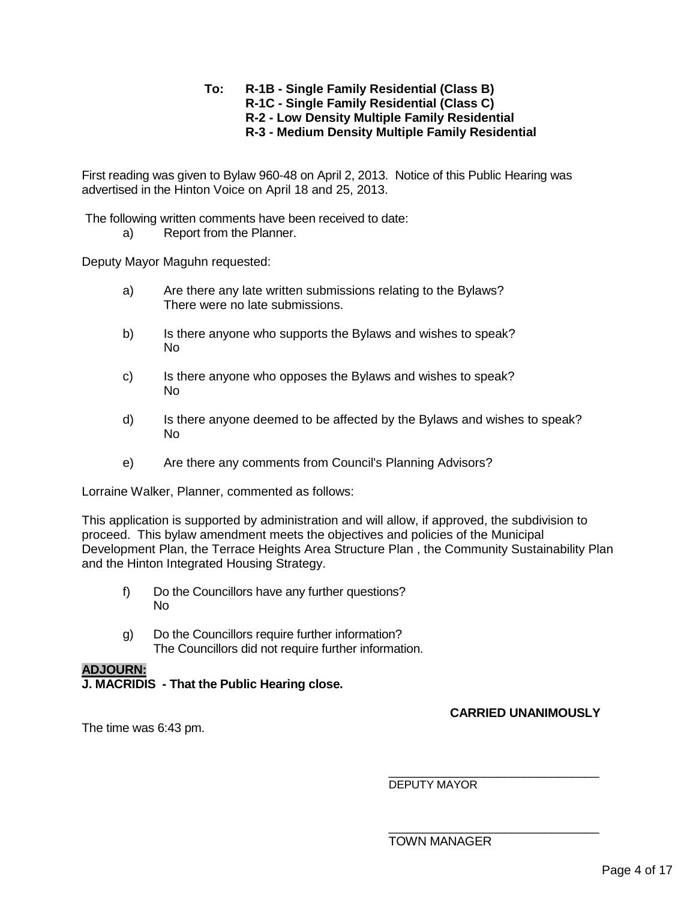### **To: R-1B - Single Family Residential (Class B) R-1C - Single Family Residential (Class C) R-2 - Low Density Multiple Family Residential R-3 - Medium Density Multiple Family Residential**

First reading was given to Bylaw 960-48 on April 2, 2013. Notice of this Public Hearing was advertised in the Hinton Voice on April 18 and 25, 2013.

The following written comments have been received to date:

a) Report from the Planner.

Deputy Mayor Maguhn requested:

- a) Are there any late written submissions relating to the Bylaws? There were no late submissions.
- b) Is there anyone who supports the Bylaws and wishes to speak? No
- c) Is there anyone who opposes the Bylaws and wishes to speak? No
- d) Is there anyone deemed to be affected by the Bylaws and wishes to speak? No
- e) Are there any comments from Council's Planning Advisors?

Lorraine Walker, Planner, commented as follows:

This application is supported by administration and will allow, if approved, the subdivision to proceed. This bylaw amendment meets the objectives and policies of the Municipal Development Plan, the Terrace Heights Area Structure Plan , the Community Sustainability Plan and the Hinton Integrated Housing Strategy.

- f) Do the Councillors have any further questions? No
- g) Do the Councillors require further information? The Councillors did not require further information.

### **ADJOURN:**

**J. MACRIDIS - That the Public Hearing close.**

The time was 6:43 pm.

\_\_\_\_\_\_\_\_\_\_\_\_\_\_\_\_\_\_\_\_\_\_\_\_\_\_\_\_\_\_\_ DEPUTY MAYOR

**CARRIED UNANIMOUSLY**

\_\_\_\_\_\_\_\_\_\_\_\_\_\_\_\_\_\_\_\_\_\_\_\_\_\_\_\_\_\_\_

TOWN MANAGER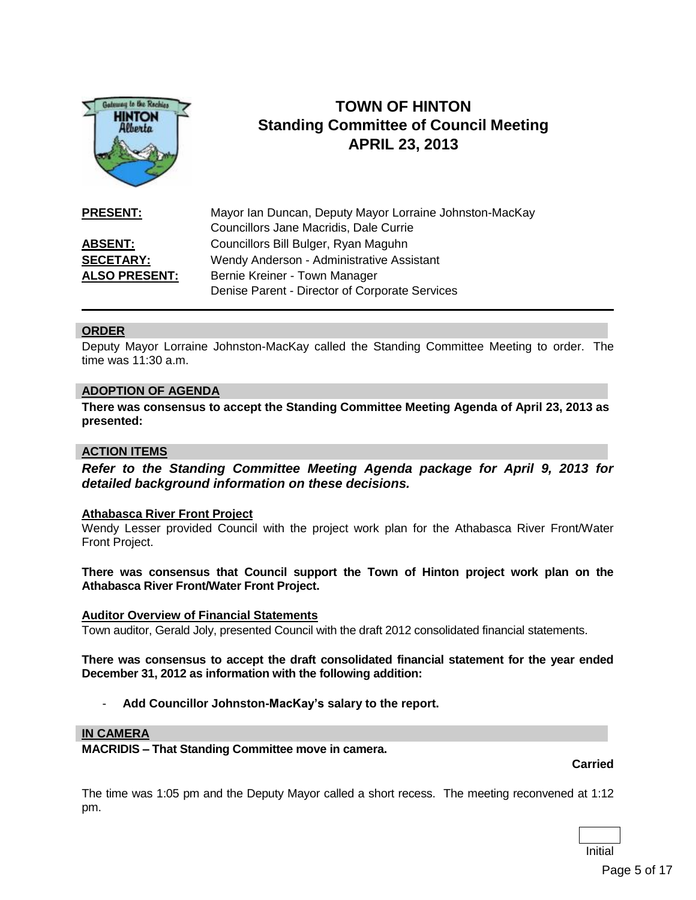

# **TOWN OF HINTON Standing Committee of Council Meeting APRIL 23, 2013**

**PRESENT:** Mayor Ian Duncan, Deputy Mayor Lorraine Johnston-MacKay Councillors Jane Macridis, Dale Currie **ABSENT:** Councillors Bill Bulger, Ryan Maguhn **SECETARY:** Wendy Anderson - Administrative Assistant **ALSO PRESENT:** Bernie Kreiner - Town Manager Denise Parent - Director of Corporate Services

## **ORDER**

Deputy Mayor Lorraine Johnston-MacKay called the Standing Committee Meeting to order. The time was 11:30 a.m.

### **ADOPTION OF AGENDA**

**There was consensus to accept the Standing Committee Meeting Agenda of April 23, 2013 as presented:**

#### **ACTION ITEMS**

*Refer to the Standing Committee Meeting Agenda package for April 9, 2013 for detailed background information on these decisions.*

#### **Athabasca River Front Project**

Wendy Lesser provided Council with the project work plan for the Athabasca River Front/Water Front Project.

**There was consensus that Council support the Town of Hinton project work plan on the Athabasca River Front/Water Front Project.**

### **Auditor Overview of Financial Statements**

Town auditor, Gerald Joly, presented Council with the draft 2012 consolidated financial statements.

**There was consensus to accept the draft consolidated financial statement for the year ended December 31, 2012 as information with the following addition:**

- **Add Councillor Johnston-MacKay's salary to the report.**

#### **IN CAMERA**

**MACRIDIS – That Standing Committee move in camera.**

**Carried**

The time was 1:05 pm and the Deputy Mayor called a short recess. The meeting reconvened at 1:12 pm.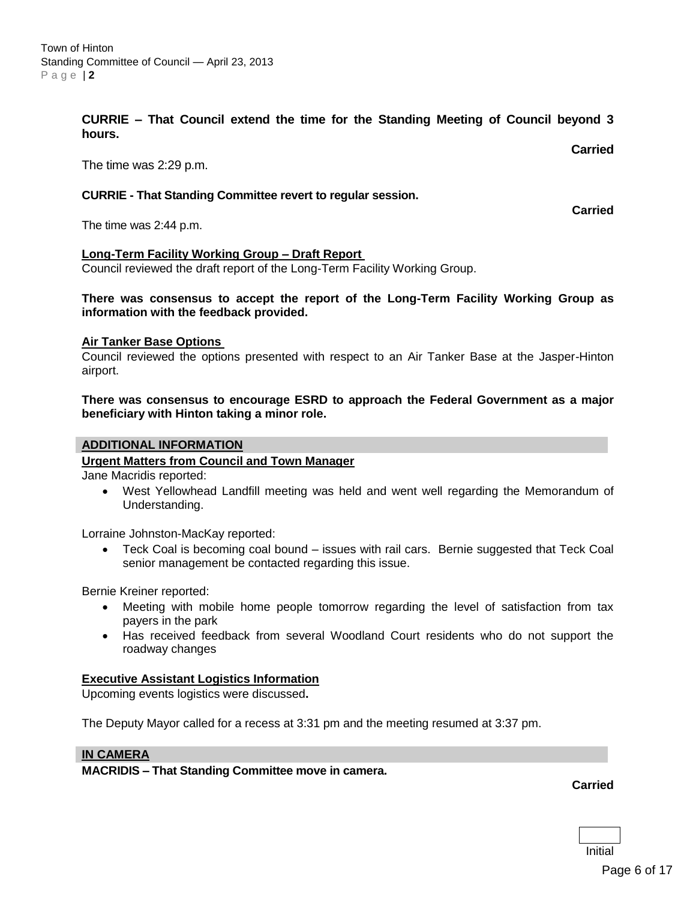**CURRIE – That Council extend the time for the Standing Meeting of Council beyond 3 hours.**

The time was 2:29 p.m.

### **CURRIE - That Standing Committee revert to regular session.**

The time was 2:44 p.m.

#### **Long-Term Facility Working Group – Draft Report**

Council reviewed the draft report of the Long-Term Facility Working Group.

### **There was consensus to accept the report of the Long-Term Facility Working Group as information with the feedback provided.**

### **Air Tanker Base Options**

Council reviewed the options presented with respect to an Air Tanker Base at the Jasper-Hinton airport.

### **There was consensus to encourage ESRD to approach the Federal Government as a major beneficiary with Hinton taking a minor role.**

#### **ADDITIONAL INFORMATION**

### **Urgent Matters from Council and Town Manager**

Jane Macridis reported:

 West Yellowhead Landfill meeting was held and went well regarding the Memorandum of Understanding.

Lorraine Johnston-MacKay reported:

 Teck Coal is becoming coal bound – issues with rail cars. Bernie suggested that Teck Coal senior management be contacted regarding this issue.

Bernie Kreiner reported:

- Meeting with mobile home people tomorrow regarding the level of satisfaction from tax payers in the park
- Has received feedback from several Woodland Court residents who do not support the roadway changes

#### **Executive Assistant Logistics Information**

Upcoming events logistics were discussed**.**

The Deputy Mayor called for a recess at 3:31 pm and the meeting resumed at 3:37 pm.

#### **IN CAMERA**

**MACRIDIS – That Standing Committee move in camera.**

**Carried**

**Carried**

**Carried**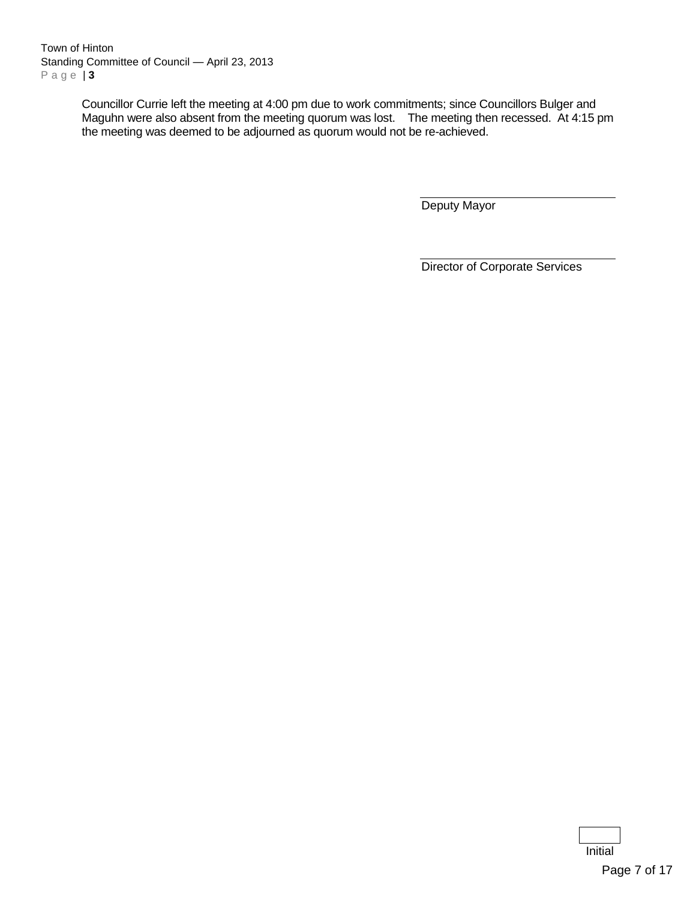Town of Hinton Standing Committee of Council — April 23, 2013 P a g e | **3**

> Councillor Currie left the meeting at 4:00 pm due to work commitments; since Councillors Bulger and Maguhn were also absent from the meeting quorum was lost. The meeting then recessed. At 4:15 pm the meeting was deemed to be adjourned as quorum would not be re-achieved.

> > Deputy Mayor

Director of Corporate Services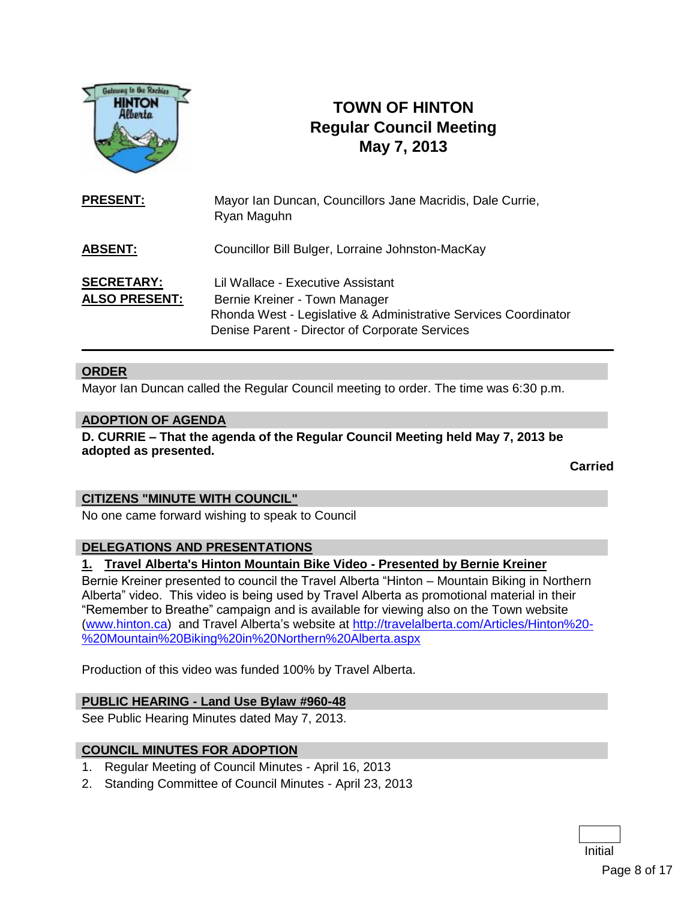

# **TOWN OF HINTON Regular Council Meeting May 7, 2013**

| <b>PRESENT:</b>                           | Mayor Ian Duncan, Councillors Jane Macridis, Dale Currie,<br>Ryan Maguhn                                                                                                                |
|-------------------------------------------|-----------------------------------------------------------------------------------------------------------------------------------------------------------------------------------------|
| <b>ABSENT:</b>                            | Councillor Bill Bulger, Lorraine Johnston-MacKay                                                                                                                                        |
| <b>SECRETARY:</b><br><b>ALSO PRESENT:</b> | Lil Wallace - Executive Assistant<br>Bernie Kreiner - Town Manager<br>Rhonda West - Legislative & Administrative Services Coordinator<br>Denise Parent - Director of Corporate Services |

## **ORDER**

Mayor Ian Duncan called the Regular Council meeting to order. The time was 6:30 p.m.

### **ADOPTION OF AGENDA**

**D. CURRIE – That the agenda of the Regular Council Meeting held May 7, 2013 be adopted as presented.**

**Carried**

### **CITIZENS "MINUTE WITH COUNCIL"**

No one came forward wishing to speak to Council

### **DELEGATIONS AND PRESENTATIONS**

## **1. Travel Alberta's Hinton Mountain Bike Video - Presented by Bernie Kreiner**

Bernie Kreiner presented to council the Travel Alberta "Hinton – Mountain Biking in Northern Alberta" video. This video is being used by Travel Alberta as promotional material in their "Remember to Breathe" campaign and is available for viewing also on the Town website [\(www.hinton.ca\)](http://www.hinton.ca/) and Travel Alberta's website at [http://travelalberta.com/Articles/Hinton%20-](http://travelalberta.com/Articles/Hinton%20-%20Mountain%20Biking%20in%20Northern%20Alberta.aspx) [%20Mountain%20Biking%20in%20Northern%20Alberta.aspx](http://travelalberta.com/Articles/Hinton%20-%20Mountain%20Biking%20in%20Northern%20Alberta.aspx)

Production of this video was funded 100% by Travel Alberta.

### **PUBLIC HEARING - Land Use Bylaw #960-48**

See Public Hearing Minutes dated May 7, 2013.

### **COUNCIL MINUTES FOR ADOPTION**

- 1. Regular Meeting of Council Minutes April 16, 2013
- 2. Standing Committee of Council Minutes April 23, 2013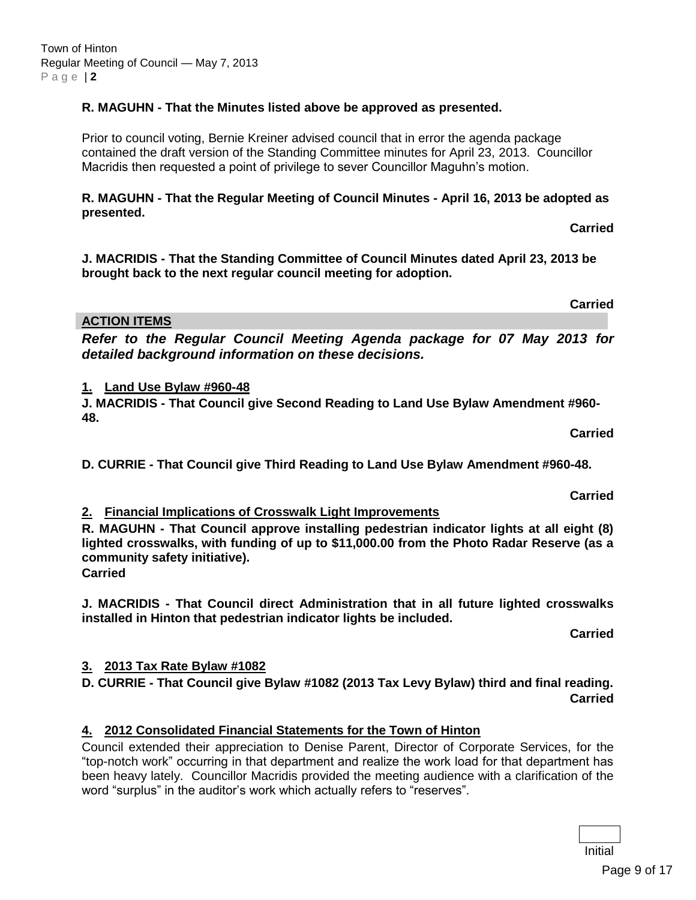# **R. MAGUHN - That the Minutes listed above be approved as presented.**

Prior to council voting, Bernie Kreiner advised council that in error the agenda package contained the draft version of the Standing Committee minutes for April 23, 2013. Councillor Macridis then requested a point of privilege to sever Councillor Maguhn's motion.

# **R. MAGUHN - That the Regular Meeting of Council Minutes - April 16, 2013 be adopted as presented.**

**J. MACRIDIS - That the Standing Committee of Council Minutes dated April 23, 2013 be brought back to the next regular council meeting for adoption.**

**ACTION ITEMS**

*Refer to the Regular Council Meeting Agenda package for 07 May 2013 for detailed background information on these decisions.*

# **1. Land Use Bylaw #960-48**

**J. MACRIDIS - That Council give Second Reading to Land Use Bylaw Amendment #960- 48.**

**D. CURRIE - That Council give Third Reading to Land Use Bylaw Amendment #960-48.**

# **2. Financial Implications of Crosswalk Light Improvements**

**R. MAGUHN - That Council approve installing pedestrian indicator lights at all eight (8) lighted crosswalks, with funding of up to \$11,000.00 from the Photo Radar Reserve (as a community safety initiative).**

**Carried**

**J. MACRIDIS - That Council direct Administration that in all future lighted crosswalks installed in Hinton that pedestrian indicator lights be included.** 

**Carried**

# **3. 2013 Tax Rate Bylaw #1082**

**D. CURRIE - That Council give Bylaw #1082 (2013 Tax Levy Bylaw) third and final reading. Carried**

# **4. 2012 Consolidated Financial Statements for the Town of Hinton**

Council extended their appreciation to Denise Parent, Director of Corporate Services, for the "top-notch work" occurring in that department and realize the work load for that department has been heavy lately. Councillor Macridis provided the meeting audience with a clarification of the word "surplus" in the auditor's work which actually refers to "reserves".

**Carried**

**Carried**

**Carried**

**Carried**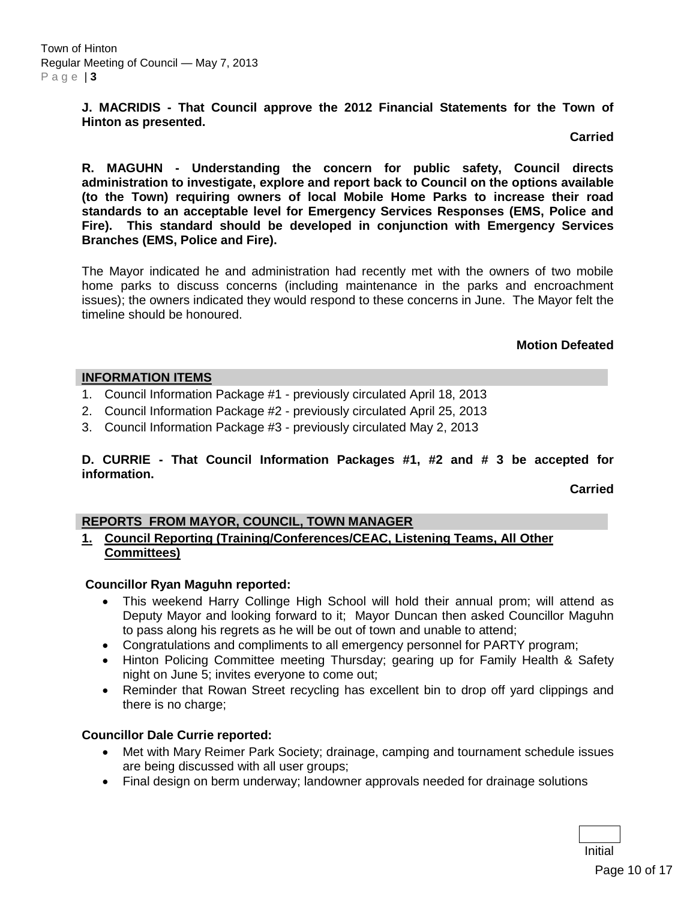**J. MACRIDIS - That Council approve the 2012 Financial Statements for the Town of Hinton as presented.**

**Carried**

**R. MAGUHN - Understanding the concern for public safety, Council directs administration to investigate, explore and report back to Council on the options available (to the Town) requiring owners of local Mobile Home Parks to increase their road standards to an acceptable level for Emergency Services Responses (EMS, Police and Fire). This standard should be developed in conjunction with Emergency Services Branches (EMS, Police and Fire).**

The Mayor indicated he and administration had recently met with the owners of two mobile home parks to discuss concerns (including maintenance in the parks and encroachment issues); the owners indicated they would respond to these concerns in June. The Mayor felt the timeline should be honoured.

### **Motion Defeated**

## **INFORMATION ITEMS**

- 1. Council Information Package #1 previously circulated April 18, 2013
- 2. Council Information Package #2 previously circulated April 25, 2013
- 3. Council Information Package #3 previously circulated May 2, 2013

## **D. CURRIE - That Council Information Packages #1, #2 and # 3 be accepted for information.**

**Carried**

## **REPORTS FROM MAYOR, COUNCIL, TOWN MANAGER**

## **1. Council Reporting (Training/Conferences/CEAC, Listening Teams, All Other Committees)**

## **Councillor Ryan Maguhn reported:**

- This weekend Harry Collinge High School will hold their annual prom; will attend as Deputy Mayor and looking forward to it; Mayor Duncan then asked Councillor Maguhn to pass along his regrets as he will be out of town and unable to attend;
- Congratulations and compliments to all emergency personnel for PARTY program;
- Hinton Policing Committee meeting Thursday; gearing up for Family Health & Safety night on June 5; invites everyone to come out;
- Reminder that Rowan Street recycling has excellent bin to drop off yard clippings and there is no charge;

## **Councillor Dale Currie reported:**

- Met with Mary Reimer Park Society; drainage, camping and tournament schedule issues are being discussed with all user groups;
- Final design on berm underway; landowner approvals needed for drainage solutions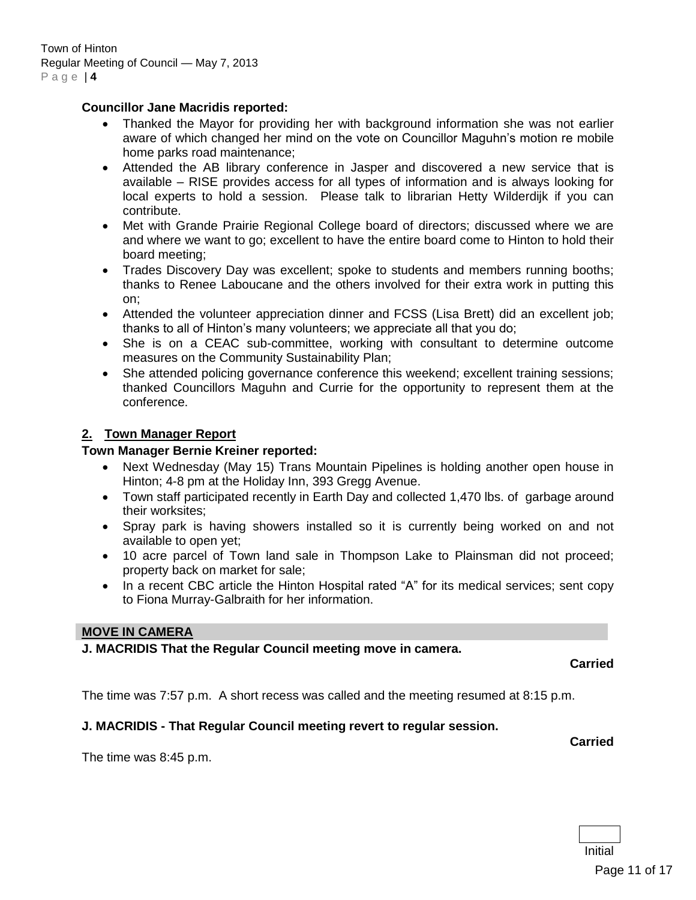### **Councillor Jane Macridis reported:**

- Thanked the Mayor for providing her with background information she was not earlier aware of which changed her mind on the vote on Councillor Maguhn's motion re mobile home parks road maintenance;
- Attended the AB library conference in Jasper and discovered a new service that is available – RISE provides access for all types of information and is always looking for local experts to hold a session. Please talk to librarian Hetty Wilderdijk if you can contribute.
- Met with Grande Prairie Regional College board of directors; discussed where we are and where we want to go; excellent to have the entire board come to Hinton to hold their board meeting;
- Trades Discovery Day was excellent; spoke to students and members running booths; thanks to Renee Laboucane and the others involved for their extra work in putting this on;
- Attended the volunteer appreciation dinner and FCSS (Lisa Brett) did an excellent job; thanks to all of Hinton's many volunteers; we appreciate all that you do;
- She is on a CEAC sub-committee, working with consultant to determine outcome measures on the Community Sustainability Plan;
- She attended policing governance conference this weekend; excellent training sessions; thanked Councillors Maguhn and Currie for the opportunity to represent them at the conference.

## **2. Town Manager Report**

## **Town Manager Bernie Kreiner reported:**

- Next Wednesday (May 15) Trans Mountain Pipelines is holding another open house in Hinton; 4-8 pm at the Holiday Inn, 393 Gregg Avenue.
- Town staff participated recently in Earth Day and collected 1,470 lbs. of garbage around their worksites;
- Spray park is having showers installed so it is currently being worked on and not available to open yet;
- 10 acre parcel of Town land sale in Thompson Lake to Plainsman did not proceed; property back on market for sale;
- In a recent CBC article the Hinton Hospital rated "A" for its medical services; sent copy to Fiona Murray-Galbraith for her information.

### **MOVE IN CAMERA**

## **J. MACRIDIS That the Regular Council meeting move in camera.**

**Carried**

The time was 7:57 p.m. A short recess was called and the meeting resumed at 8:15 p.m.

## **J. MACRIDIS - That Regular Council meeting revert to regular session.**

**Carried**

The time was 8:45 p.m.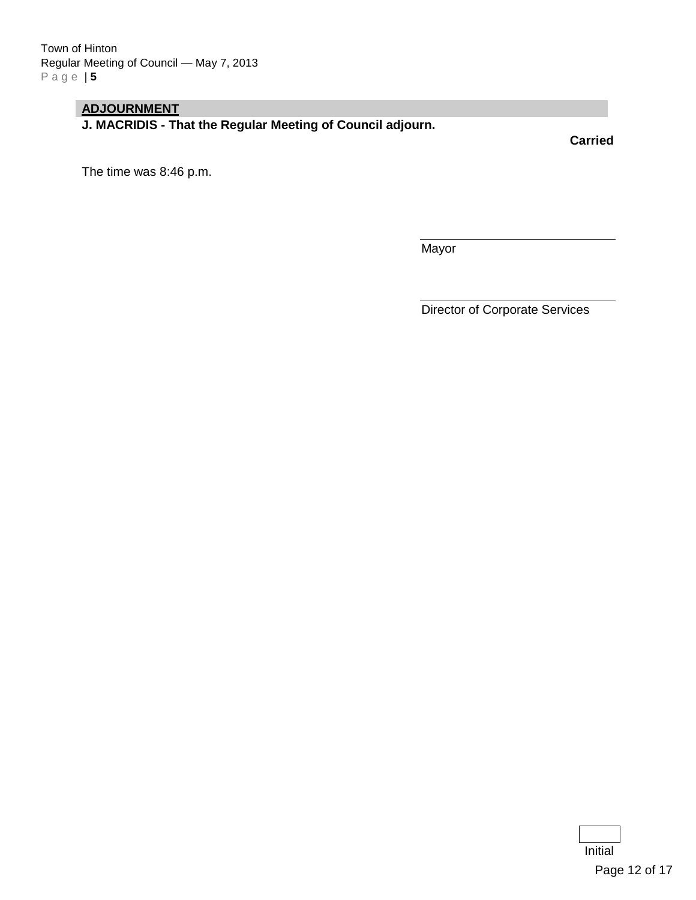# **ADJOURNMENT**

**J. MACRIDIS - That the Regular Meeting of Council adjourn.**

**Carried**

The time was 8:46 p.m.

Mayor

Director of Corporate Services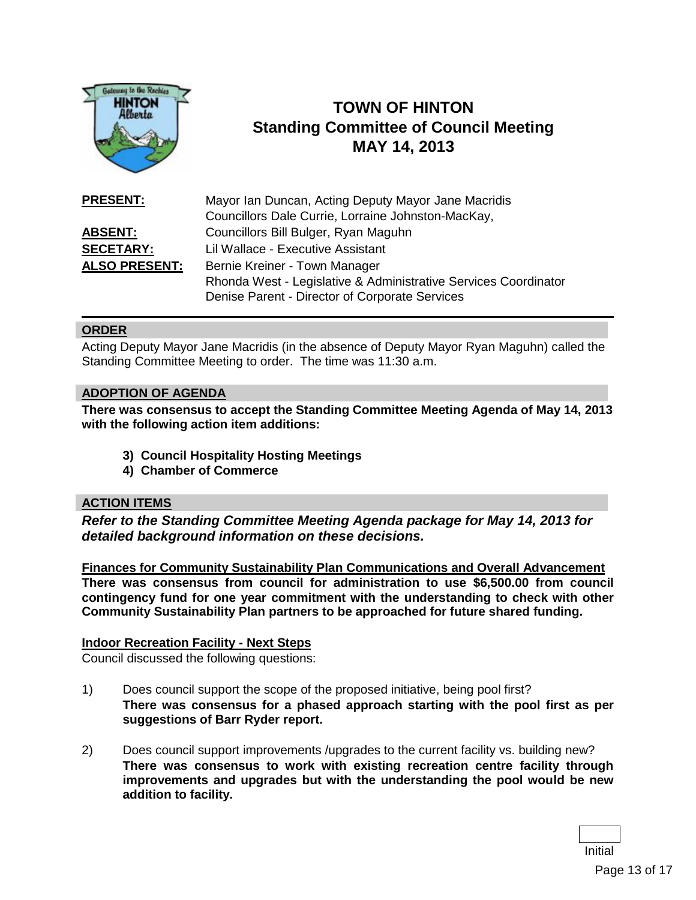

# **TOWN OF HINTON Standing Committee of Council Meeting MAY 14, 2013**

| <b>PRESENT:</b>      | Mayor Ian Duncan, Acting Deputy Mayor Jane Macridis             |
|----------------------|-----------------------------------------------------------------|
|                      | Councillors Dale Currie, Lorraine Johnston-MacKay,              |
| <u>ABSENT:</u>       | Councillors Bill Bulger, Ryan Maguhn                            |
| <b>SECETARY:</b>     | Lil Wallace - Executive Assistant                               |
| <b>ALSO PRESENT:</b> | Bernie Kreiner - Town Manager                                   |
|                      | Rhonda West - Legislative & Administrative Services Coordinator |
|                      | Denise Parent - Director of Corporate Services                  |

### **ORDER**

Acting Deputy Mayor Jane Macridis (in the absence of Deputy Mayor Ryan Maguhn) called the Standing Committee Meeting to order. The time was 11:30 a.m.

### **ADOPTION OF AGENDA**

**There was consensus to accept the Standing Committee Meeting Agenda of May 14, 2013 with the following action item additions:**

- **3) Council Hospitality Hosting Meetings**
- **4) Chamber of Commerce**

### **ACTION ITEMS**

*Refer to the Standing Committee Meeting Agenda package for May 14, 2013 for detailed background information on these decisions.*

**Finances for Community Sustainability Plan Communications and Overall Advancement There was consensus from council for administration to use \$6,500.00 from council contingency fund for one year commitment with the understanding to check with other Community Sustainability Plan partners to be approached for future shared funding.**

### **Indoor Recreation Facility - Next Steps**

Council discussed the following questions:

- 1) Does council support the scope of the proposed initiative, being pool first? **There was consensus for a phased approach starting with the pool first as per suggestions of Barr Ryder report.**
- 2) Does council support improvements /upgrades to the current facility vs. building new? **There was consensus to work with existing recreation centre facility through improvements and upgrades but with the understanding the pool would be new addition to facility.**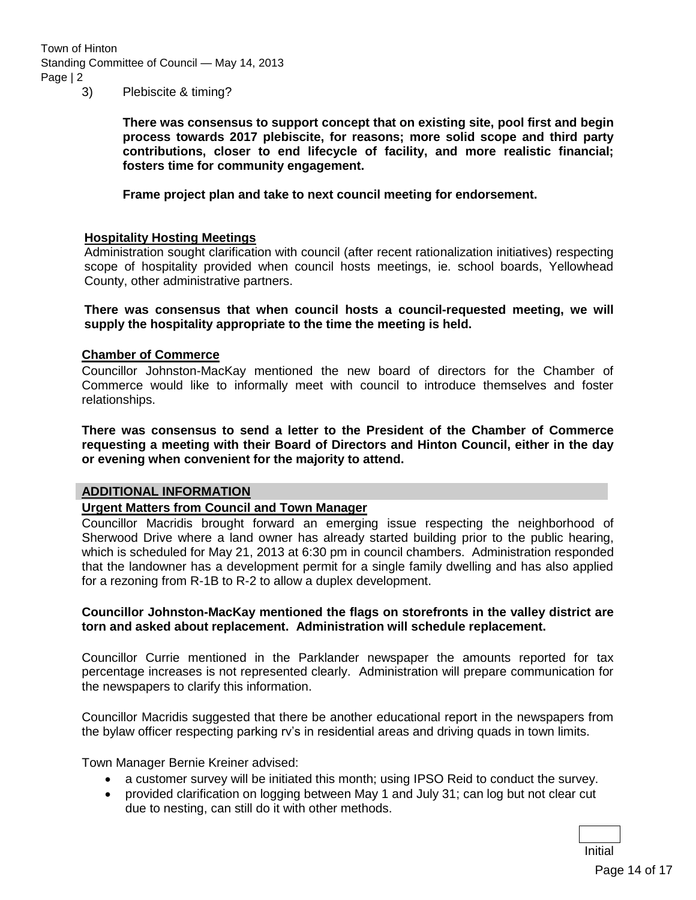Town of Hinton Standing Committee of Council — May 14, 2013 Page | 2

3) Plebiscite & timing?

**There was consensus to support concept that on existing site, pool first and begin process towards 2017 plebiscite, for reasons; more solid scope and third party contributions, closer to end lifecycle of facility, and more realistic financial; fosters time for community engagement.** 

**Frame project plan and take to next council meeting for endorsement.**

### **Hospitality Hosting Meetings**

Administration sought clarification with council (after recent rationalization initiatives) respecting scope of hospitality provided when council hosts meetings, ie. school boards, Yellowhead County, other administrative partners.

**There was consensus that when council hosts a council-requested meeting, we will supply the hospitality appropriate to the time the meeting is held.**

### **Chamber of Commerce**

Councillor Johnston-MacKay mentioned the new board of directors for the Chamber of Commerce would like to informally meet with council to introduce themselves and foster relationships.

**There was consensus to send a letter to the President of the Chamber of Commerce requesting a meeting with their Board of Directors and Hinton Council, either in the day or evening when convenient for the majority to attend.**

#### **ADDITIONAL INFORMATION**

### **Urgent Matters from Council and Town Manager**

Councillor Macridis brought forward an emerging issue respecting the neighborhood of Sherwood Drive where a land owner has already started building prior to the public hearing, which is scheduled for May 21, 2013 at 6:30 pm in council chambers. Administration responded that the landowner has a development permit for a single family dwelling and has also applied for a rezoning from R-1B to R-2 to allow a duplex development.

### **Councillor Johnston-MacKay mentioned the flags on storefronts in the valley district are torn and asked about replacement. Administration will schedule replacement.**

Councillor Currie mentioned in the Parklander newspaper the amounts reported for tax percentage increases is not represented clearly. Administration will prepare communication for the newspapers to clarify this information.

Councillor Macridis suggested that there be another educational report in the newspapers from the bylaw officer respecting parking rv's in residential areas and driving quads in town limits.

Town Manager Bernie Kreiner advised:

- a customer survey will be initiated this month; using IPSO Reid to conduct the survey.
- provided clarification on logging between May 1 and July 31; can log but not clear cut due to nesting, can still do it with other methods.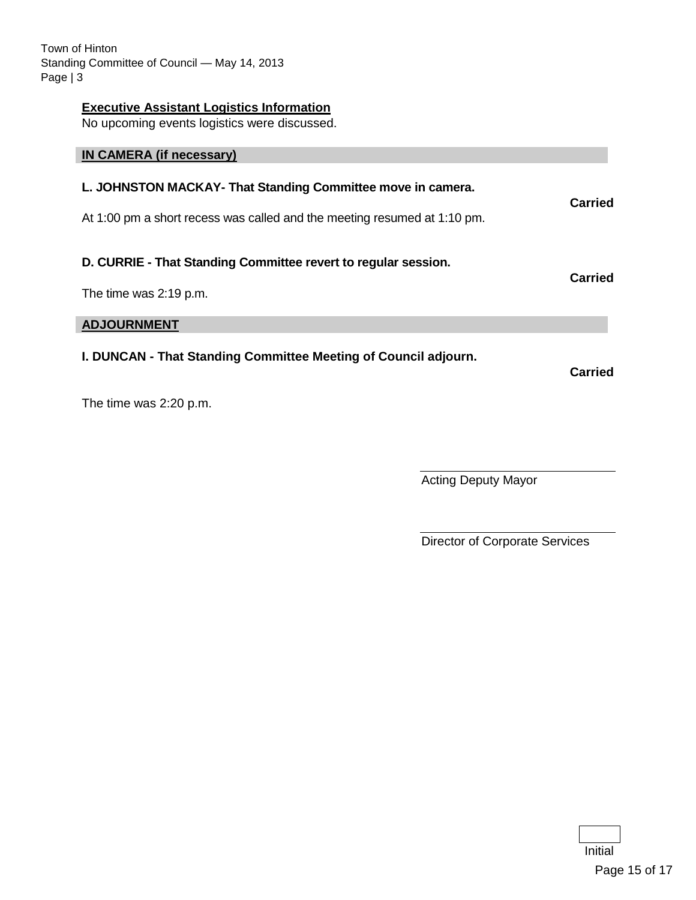Town of Hinton Standing Committee of Council — May 14, 2013 Page | 3

### **Executive Assistant Logistics Information**

No upcoming events logistics were discussed.

| IN CAMERA (if necessary)                                                                                                                |         |  |
|-----------------------------------------------------------------------------------------------------------------------------------------|---------|--|
| L. JOHNSTON MACKAY- That Standing Committee move in camera.<br>At 1:00 pm a short recess was called and the meeting resumed at 1:10 pm. | Carried |  |
| D. CURRIE - That Standing Committee revert to regular session.<br>The time was 2:19 p.m.                                                | Carried |  |
| <b>ADJOURNMENT</b>                                                                                                                      |         |  |
| I. DUNCAN - That Standing Committee Meeting of Council adjourn.                                                                         | Carried |  |

The time was 2:20 p.m.

Acting Deputy Mayor

Director of Corporate Services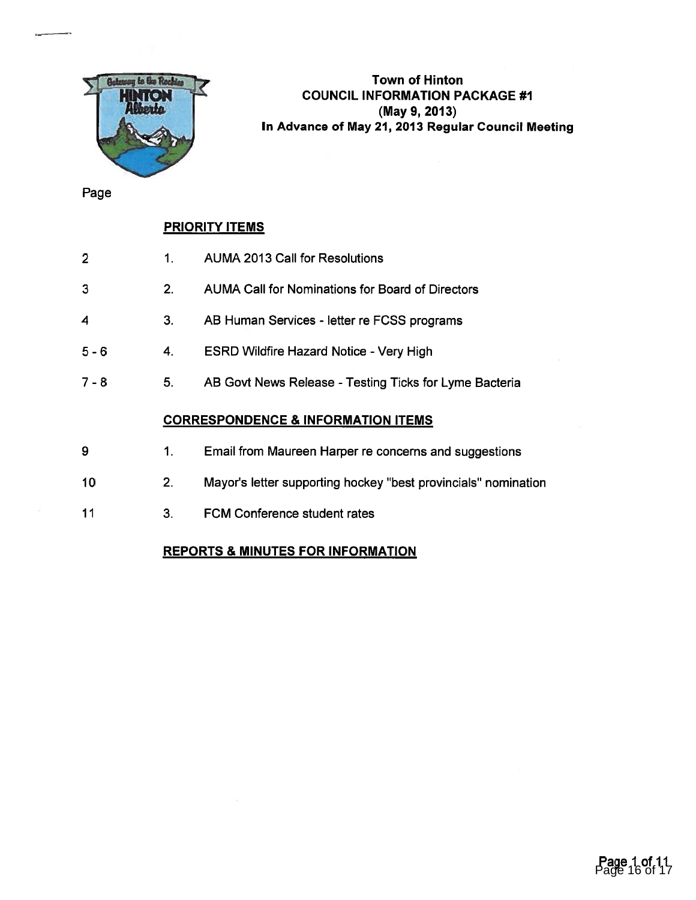

Town of Hinton COUNCIL INFORMATION PACKAGE #1 (May 9, 2013) In Advance of May 21, 2013 Regular Council Meeting

Page

# PRIORITY ITEMS

|   | AUMA 2013 Call for Resolutions                   |
|---|--------------------------------------------------|
| 3 | AUMA Call for Nominations for Board of Directors |

- 4 3. AB Human Services letter re FCSS programs
- 5 6 4. ESRD Wildfire Hazard Notice Very High
- 7 8 5. AB Govt News Release Testing Ticks for Lyme Bacteria

## CORRESPONDENCE & INFORMATION ITEMS

- 9 1. Email from Maureen Harper re concerns and suggestions
- 10 2. Mayor's letter supporting hockey "best provincials" nomination
- 11 3. FCM Conference student rates

# REPORTS & MINUTES FOR INFORMATION